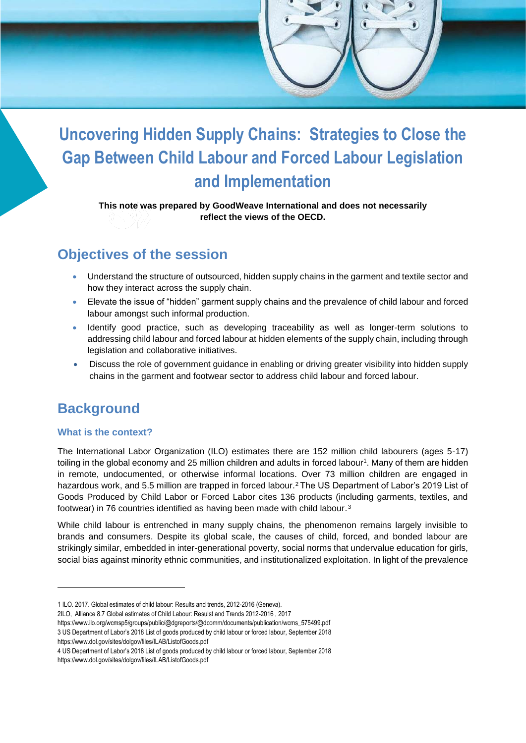

**This note was prepared by GoodWeave International and does not necessarily reflect the views of the OECD.**

### **Objectives of the session**

- Understand the structure of outsourced, hidden supply chains in the garment and textile sector and how they interact across the supply chain.
- Elevate the issue of "hidden" garment supply chains and the prevalence of child labour and forced labour amongst such informal production.
- Identify good practice, such as developing traceability as well as longer-term solutions to addressing child labour and forced labour at hidden elements of the supply chain, including through legislation and collaborative initiatives.
- Discuss the role of government guidance in enabling or driving greater visibility into hidden supply chains in the garment and footwear sector to address child labour and forced labour.

### **Background**

#### **What is the context?**

The International Labor Organization (ILO) estimates there are 152 million child labourers (ages 5-17) toiling in the global economy and 25 million children and adults in forced labour<sup>1</sup>. Many of them are hidden in remote, undocumented, or otherwise informal locations. Over 73 million children are engaged in hazardous work, and 5.5 million are trapped in forced labour.<sup>2</sup> The US Department of Labor's 2019 List of Goods Produced by Child Labor or Forced Labor cites 136 products (including garments, textiles, and footwear) in 76 countries identified as having been made with child labour.<sup>3</sup>

While child labour is entrenched in many supply chains, the phenomenon remains largely invisible to brands and consumers. Despite its global scale, the causes of child, forced, and bonded labour are strikingly similar, embedded in inter-generational poverty, social norms that undervalue education for girls, social bias against minority ethnic communities, and institutionalized exploitation. In light of the prevalence

<https://www.dol.gov/sites/dolgov/files/ILAB/ListofGoods.pdf>

<https://www.dol.gov/sites/dolgov/files/ILAB/ListofGoods.pdf>

<sup>1</sup> ILO. 2017. Global estimates of child labour: Results and trends, 2012-2016 (Geneva).

<sup>2</sup>ILO, Alliance 8.7 Global estimates of Child Labour: Resulst and Trends 2012-2016 , 2017

[https://www.ilo.org/wcmsp5/groups/public/@dgreports/@dcomm/documents/publication/wcms\\_575499.pdf](https://www.ilo.org/wcmsp5/groups/public/@dgreports/@dcomm/documents/publication/wcms_575499.pdf)

<sup>3</sup> US Department of Labor's 2018 List of goods produced by child labour or forced labour, September 2018

<sup>4</sup> US Department of Labor's 2018 List of goods produced by child labour or forced labour, September 2018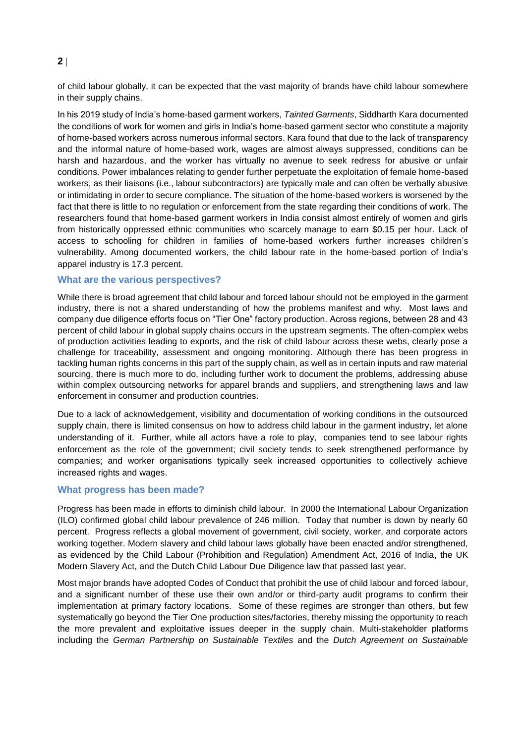of child labour globally, it can be expected that the vast majority of brands have child labour somewhere in their supply chains.

In his 2019 study of India's home-based garment workers, *Tainted Garments*, Siddharth Kara documented the conditions of work for women and girls in India's home-based garment sector who constitute a majority of home-based workers across numerous informal sectors. Kara found that due to the lack of transparency and the informal nature of home-based work, wages are almost always suppressed, conditions can be harsh and hazardous, and the worker has virtually no avenue to seek redress for abusive or unfair conditions. Power imbalances relating to gender further perpetuate the exploitation of female home-based workers, as their liaisons (i.e., labour subcontractors) are typically male and can often be verbally abusive or intimidating in order to secure compliance. The situation of the home-based workers is worsened by the fact that there is little to no regulation or enforcement from the state regarding their conditions of work. The researchers found that home-based garment workers in India consist almost entirely of women and girls from historically oppressed ethnic communities who scarcely manage to earn \$0.15 per hour. Lack of access to schooling for children in families of home-based workers further increases children's vulnerability. Among documented workers, the child labour rate in the home-based portion of India's apparel industry is 17.3 percent.

#### **What are the various perspectives?**

While there is broad agreement that child labour and forced labour should not be employed in the garment industry, there is not a shared understanding of how the problems manifest and why. Most laws and company due diligence efforts focus on "Tier One" factory production. Across regions, between 28 and 43 percent of child labour in global supply chains occurs in the upstream segments. The often-complex webs of production activities leading to exports, and the risk of child labour across these webs, clearly pose a challenge for traceability, assessment and ongoing monitoring. Although there has been progress in tackling human rights concerns in this part of the supply chain, as well as in certain inputs and raw material sourcing, there is much more to do, including further work to document the problems, addressing abuse within complex outsourcing networks for apparel brands and suppliers, and strengthening laws and law enforcement in consumer and production countries.

Due to a lack of acknowledgement, visibility and documentation of working conditions in the outsourced supply chain, there is limited consensus on how to address child labour in the garment industry, let alone understanding of it. Further, while all actors have a role to play, companies tend to see labour rights enforcement as the role of the government; civil society tends to seek strengthened performance by companies; and worker organisations typically seek increased opportunities to collectively achieve increased rights and wages.

#### **What progress has been made?**

Progress has been made in efforts to diminish child labour. In 2000 the International Labour Organization (ILO) confirmed global child labour prevalence of 246 million. Today that number is down by nearly 60 percent. Progress reflects a global movement of government, civil society, worker, and corporate actors working together. Modern slavery and child labour laws globally have been enacted and/or strengthened, as evidenced by the Child Labour (Prohibition and Regulation) Amendment Act, 2016 of India, the UK Modern Slavery Act, and the Dutch Child Labour Due Diligence law that passed last year.

Most major brands have adopted Codes of Conduct that prohibit the use of child labour and forced labour, and a significant number of these use their own and/or or third-party audit programs to confirm their implementation at primary factory locations. Some of these regimes are stronger than others, but few systematically go beyond the Tier One production sites/factories, thereby missing the opportunity to reach the more prevalent and exploitative issues deeper in the supply chain. Multi-stakeholder platforms including the *German Partnership on Sustainable Textiles* and the *[Dutch Agreement on Sustainable](https://www.imvoconvenanten.nl/)* 

#### **2**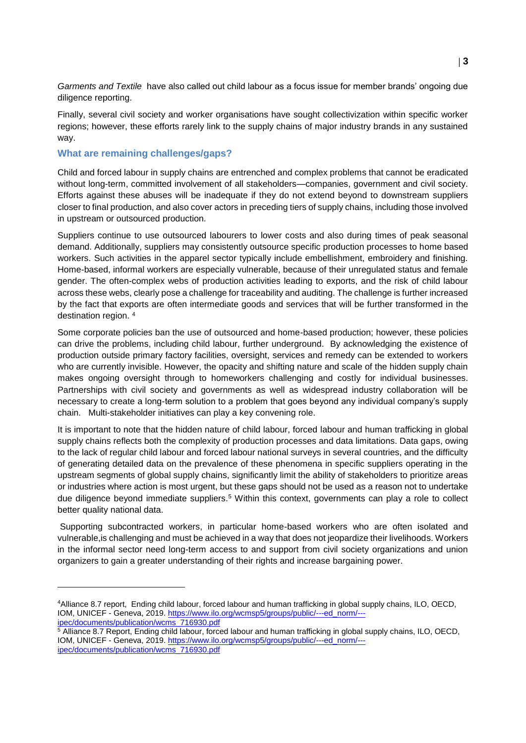*[Garments and Textile](https://www.imvoconvenanten.nl/)* have also called out child labour as a focus issue for member brands' ongoing due diligence reporting.

Finally, several civil society and worker organisations have sought collectivization within specific worker regions; however, these efforts rarely link to the supply chains of major industry brands in any sustained way.

#### **What are remaining challenges/gaps?**

 $\overline{a}$ 

Child and forced labour in supply chains are entrenched and complex problems that cannot be eradicated without long-term, committed involvement of all stakeholders—companies, government and civil society. Efforts against these abuses will be inadequate if they do not extend beyond to downstream suppliers closer to final production, and also cover actors in preceding tiers of supply chains, including those involved in upstream or outsourced production.

Suppliers continue to use outsourced labourers to lower costs and also during times of peak seasonal demand. Additionally, suppliers may consistently outsource specific production processes to home based workers. Such activities in the apparel sector typically include embellishment, embroidery and finishing. Home-based, informal workers are especially vulnerable, because of their unregulated status and female gender. The often-complex webs of production activities leading to exports, and the risk of child labour across these webs, clearly pose a challenge for traceability and auditing. The challenge is further increased by the fact that exports are often intermediate goods and services that will be further transformed in the destination region. <sup>4</sup>

Some corporate policies ban the use of outsourced and home-based production; however, these policies can drive the problems, including child labour, further underground. By acknowledging the existence of production outside primary factory facilities, oversight, services and remedy can be extended to workers who are currently invisible. However, the opacity and shifting nature and scale of the hidden supply chain makes ongoing oversight through to homeworkers challenging and costly for individual businesses. Partnerships with civil society and governments as well as widespread industry collaboration will be necessary to create a long-term solution to a problem that goes beyond any individual company's supply chain. Multi-stakeholder initiatives can play a key convening role.

It is important to note that the hidden nature of child labour, forced labour and human trafficking in global supply chains reflects both the complexity of production processes and data limitations. Data gaps, owing to the lack of regular child labour and forced labour national surveys in several countries, and the difficulty of generating detailed data on the prevalence of these phenomena in specific suppliers operating in the upstream segments of global supply chains, significantly limit the ability of stakeholders to prioritize areas or industries where action is most urgent, but these gaps should not be used as a reason not to undertake due diligence beyond immediate suppliers.<sup>5</sup> Within this context, governments can play a role to collect better quality national data.

Supporting subcontracted workers, in particular home-based workers who are often isolated and vulnerable,is challenging and must be achieved in a way that does not jeopardize their livelihoods. Workers in the informal sector need long-term access to and support from civil society organizations and union organizers to gain a greater understanding of their rights and increase bargaining power.

<sup>4</sup>Alliance 8.7 report, Ending child labour, forced labour and human trafficking in global supply chains, ILO, OECD, IOM, UNICEF - Geneva, 2019. [https://www.ilo.org/wcmsp5/groups/public/---ed\\_norm/--](https://www.ilo.org/wcmsp5/groups/public/---ed_norm/---ipec/documents/publication/wcms_716930.pdf) [ipec/documents/publication/wcms\\_716930.pdf](https://www.ilo.org/wcmsp5/groups/public/---ed_norm/---ipec/documents/publication/wcms_716930.pdf)

 $5$  Alliance 8.7 Report, Ending child labour, forced labour and human trafficking in global supply chains, ILO, OECD, IOM, UNICEF - Geneva, 2019. [https://www.ilo.org/wcmsp5/groups/public/---ed\\_norm/--](https://www.ilo.org/wcmsp5/groups/public/---ed_norm/---ipec/documents/publication/wcms_716930.pdf) [ipec/documents/publication/wcms\\_716930.pdf](https://www.ilo.org/wcmsp5/groups/public/---ed_norm/---ipec/documents/publication/wcms_716930.pdf)